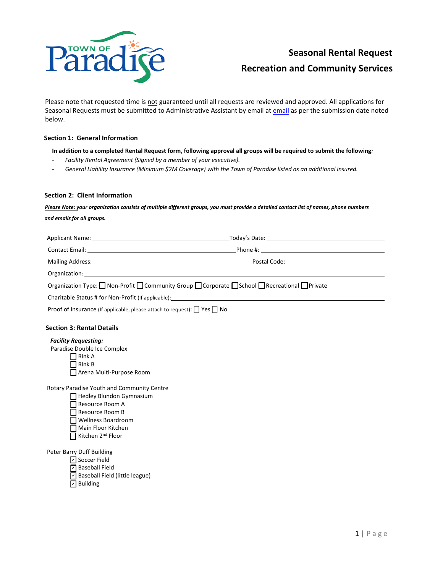

Please note that requested time is not guaranteed until all requests are reviewed and approved. All applications for Seasonal Requests must be submitted to Administrative Assistant by email at email as per the submission date noted below.

## **Section 1: General Information**

**In addition to a completed Rental Request form, following approval all groups will be required to submit the following***:*

- *Facility Rental Agreement (Signed by a member of your executive).*
- *General Liability Insurance (Minimum \$2M Coverage) with the Town of Paradise listed as an additional insured.*

## **Section 2: Client Information**

*Please Note: your organization consists of multiple different groups, you must provide a detailed contact list of names, phone numbers and emails for all groups.*

|                                                                                     | Phone #: <u>__________________________</u> |  |
|-------------------------------------------------------------------------------------|--------------------------------------------|--|
|                                                                                     |                                            |  |
|                                                                                     |                                            |  |
| Organization Type: Non-Profit Community Group Corporate School Recreational Private |                                            |  |
|                                                                                     |                                            |  |
| Proof of Insurance (If applicable, please attach to request): □ Yes □ No            |                                            |  |
|                                                                                     |                                            |  |

## **Section 3: Rental Details**

## *Facility Requesting:*

Paradise Double Ice Complex

 $\prod$  Rink A  $\Box$  Rink B

□ Arena Multi-Purpose Room

Rotary Paradise Youth and Community Centre

□ Hedley Blundon Gymnasium □ Resource Room A □ Resource Room B □ Wellness Boardroom ⎕ Main Floor Kitchen  $\overline{\Pi}$  Kitchen 2<sup>nd</sup> Floor

Peter Barry Duff Building

**☑** Soccer Field

**☑** Baseball Field  $\triangleright$  Baseball Field (little league) **□** Building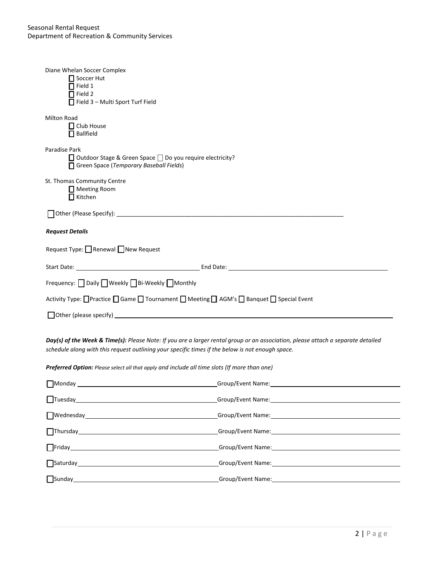| Diane Whelan Soccer Complex<br>$\prod$ Soccer Hut<br>$\Box$ Field 1<br>$\Box$ Field 2<br>$\Box$ Field 3 - Multi Sport Turf Field                                                                                                                                                                                                     |                                                                                                               |  |
|--------------------------------------------------------------------------------------------------------------------------------------------------------------------------------------------------------------------------------------------------------------------------------------------------------------------------------------|---------------------------------------------------------------------------------------------------------------|--|
| <b>Milton Road</b><br>□ Club House<br>$\Box$ Ballfield                                                                                                                                                                                                                                                                               |                                                                                                               |  |
| Paradise Park<br>□ Outdoor Stage & Green Space □ Do you require electricity?<br>Green Space (Temporary Baseball Fields)                                                                                                                                                                                                              |                                                                                                               |  |
| St. Thomas Community Centre<br>Meeting Room<br>$\Box$ Kitchen                                                                                                                                                                                                                                                                        |                                                                                                               |  |
|                                                                                                                                                                                                                                                                                                                                      |                                                                                                               |  |
| <b>Request Details</b>                                                                                                                                                                                                                                                                                                               |                                                                                                               |  |
| Request Type: <u>□</u> Renewal □ New Request                                                                                                                                                                                                                                                                                         |                                                                                                               |  |
|                                                                                                                                                                                                                                                                                                                                      |                                                                                                               |  |
| Frequency: Daily Weekly Bi-Weekly Monthly                                                                                                                                                                                                                                                                                            |                                                                                                               |  |
| Activity Type: □Practice □ Game □ Tournament □ Meeting □ AGM's □ Banquet □ Special Event                                                                                                                                                                                                                                             |                                                                                                               |  |
|                                                                                                                                                                                                                                                                                                                                      |                                                                                                               |  |
| Day(s) of the Week & Time(s): Please Note: If you are a larger rental group or an association, please attach a separate detailed<br>schedule along with this request outlining your specific times if the below is not enough space.<br>Preferred Option: Please select all that apply and include all time slots (If more than one) |                                                                                                               |  |
| $\Box$ Monday                                                                                                                                                                                                                                                                                                                        | Group/Event Name:                                                                                             |  |
| $\boxed{\text{Tuesday}}$                                                                                                                                                                                                                                                                                                             |                                                                                                               |  |
|                                                                                                                                                                                                                                                                                                                                      | University of Crown Component Name: Component Name: Component Name: Component Name:                           |  |
| Thursday Management of Thursday Management of Thursday                                                                                                                                                                                                                                                                               | Group/Event Name: 1999 March 1999 March 1999 March 1999 March 1999 March 1999 March 1999 March 1999 March 199 |  |
|                                                                                                                                                                                                                                                                                                                                      |                                                                                                               |  |
|                                                                                                                                                                                                                                                                                                                                      |                                                                                                               |  |
|                                                                                                                                                                                                                                                                                                                                      |                                                                                                               |  |